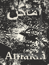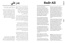## Language, a book in her father>s library and from which she took pages on healing or rage and turned §€¼ ´³‰ À \* §»
 'çŠ \$œŸ ž® € §Ÿ them into porcelain scrolls. The possibility aÂorded

by the artist>s book also plays a key role in the exhibition: the narrow concertina-like books of Hussein AlMohasen are installed across an entire wall; the sculptural forms of books of Dia al-Azzawi, Ghassan Ghaib and Nazar Yahya Álled with poetry are a poignant reminder of the destruction heaped upon Baghdad, the city which also haunts Sadik Kwaish Alfraji which he brings to mind in the story of a single tree on a Baghdad street or in his meditation on exile Ališs Boat. Lujain Faqerah makes books which represent ?places of stillness, somewhere quiet.> This is travel of the mind. While Muhannad Shono makes his book out of sand because ?sand chooses which stories to tell and which secrets to hide.>

Creating Amakinhas taken all of us who have worked on the exhibition on an extraordinary journey. We have been continuously inspired by the talented artists each one of whom has so generously invited us to share their makan, enriching us in the process. It is, however, the vision of Her Royal Highness Princess Jawaher and the members of SAC, whose belief in the power of art created 21,39, Jeddah Arts and it has been our great privilege to have been invited to share that vision for the **9**edition.

Venetia Porter

| l<br>ÅŸ• Å• ""§Í£•¯x𤱠Þ <sup>з</sup> ″œ                                                                                                                                                                                                                                                                                                                                                                                      |
|-----------------------------------------------------------------------------------------------------------------------------------------------------------------------------------------------------------------------------------------------------------------------------------------------------------------------------------------------------------------------------------------------------------------------------|
| • ª ¤Œ    Å ¡ 'µ ⋅ê ž® <sub>"</sub> j€  • - • ' çŠ ¸ "                                                                                                                                                                                                                                                                                                                                                                      |
| $f \P \cdot f \P \pm$ " $i \pm \frac{1}{2}$ (o) $\frac{1}{2}$ (o) $\frac{2}{3}$ (o) $\frac{2}{3}$ (o) $\frac{2}{3}$ ( $\frac{2}{3}$ ( $\frac{2}{3}$ ( $\frac{2}{3}$ ( $\frac{2}{3}$ ( $\frac{2}{3}$ ( $\frac{2}{3}$ ( $\frac{2}{3}$ ( $\frac{2}{3}$ ( $\frac{2}{3}$ ( $\frac{2}{3}$ ( $\frac{2}{3}$ ( $\frac{2}{3}$ ( $\frac{$                                                                                              |
| $\neg^{10}$ " », $i \not\in \check{Z} \check{\S}$ . $\S\hat{a}$ » $\S\hat{\S}$ $\hat{A}$ , ". •'                                                                                                                                                                                                                                                                                                                            |
| <sup>→</sup> «•Ôå‰* ª¶š   꼉" μ ª•Å                                                                                                                                                                                                                                                                                                                                                                                          |
| ." "ä 3Ø ‴‰ * «Ã •                                                                                                                                                                                                                                                                                                                                                                                                          |
| Ì»‰•̯ µ¶§ˆ±Ç Š , ŸÌ»‰§€Å Æ ,<br>$\tilde{N}$ » <sup>3</sup> Ô Žê "Ÿ ".[šŠ §Œ §€Å û•<br>$\circ$ , $\mu \dot{Y}$ $\circ$ $\tilde{Y}$ $\tilde{Y}$ $\circ$ $\tilde{Y}$ $\tilde{Y}$ $\tilde{Y}$ $\tilde{Y}$ $\tilde{Y}$ $\tilde{Y}$ $\tilde{Y}$ $\mu$ , $\tilde{Y}$ $\tilde{Y}$<br><sub>/el</sub> ± §∙Åœ§ø ¦ ∙õÝ <sup>3</sup> ƒŸ Š.§, Œ ¬®¯<br>$\circledast$ • $\forall \forall \S'$ , • ÆÇŠ $\circ$ $\phi$ $\Lambda \lambda \in$ |
|                                                                                                                                                                                                                                                                                                                                                                                                                             |

 $f\hat{Y}$  »... $\hat{A}$  **;** •  $\hat{O}$   $\hat{O}$  •  $\hat{S}$  »  $\P$   $3$   $\hat{S}$  »  $\lt$ 

 $\hat{S}$ <sup>3</sup>êÅÀ ¬®¯  $\hat{S} \bullet \hat{e}$  •  $\hat{S} \varnothing \bullet$ °...• ŠÎó

 $O, \int_0^1$  • A S  $\S \in \S^*$  is  $\S^*$  a æs ••

## •‰" ‡£‡œ'

| Safeya Binzagr                                                                                                                                                       | $c_{\mathbf{f}}$ /                                                                                                          |
|----------------------------------------------------------------------------------------------------------------------------------------------------------------------|-----------------------------------------------------------------------------------------------------------------------------|
| The Binzagr family house in Harat al-<br>$\epsilon_1$ $\epsilon_2$ $\mu$ 1 <sup>3%</sup> $\epsilon_3$ $\epsilon_4$ CE i $\epsilon_1$ $\epsilon_2$ $\pm \alpha \xi_2$ |                                                                                                                             |
| Sham (detail), al-Balad, Jeddah769                                                                                                                                   | õô                                                                                                                          |
| Etching numbered 128                                                                                                                                                 | $\S$ <sup>1</sup> / <sub>4</sub> ± Õ Õ <sup>3</sup> Š Š Š •à                                                                |
| $36 \cdot 26$ cm                                                                                                                                                     | $\mathbf{i}$                                                                                                                |
| Courtesy Darat Safeya Binzagr                                                                                                                                        | £ÕЧªœ 'º¶Š                                                                                                                  |
| Shadia Alem                                                                                                                                                          |                                                                                                                             |
| 'The bedouin knows š 2000                                                                                                                                            | "«¬^ ®j Š"                                                                                                                  |
| Coloured inks and acrylic paint on paper                                                                                                                             | ´•∖-€̃,Ÿf Ÿ•§€ •ÅŸ                                                                                                          |
| $42 \cdot 30 \text{ cm}$                                                                                                                                             | $\blacksquare$                                                                                                              |
| Courtesy Al-Mansouria Foundation                                                                                                                                     | $\S$ Ù Í» $\S$ ± $\circ$ ¶Š                                                                                                 |
| <b>Bader Awwad AlBalawi</b>                                                                                                                                          | $\alpha$ <sup>&lt;</sup>                                                                                                    |
| The shop of Ashraf Ali Khan, North Khobar, 2021                                                                                                                      | $\tilde{0}$ + $\varnothing$ " $\operatorname{a}_{\alpha}$ $\otimes$ $\operatorname{a}_{\alpha}$ $\operatorname{a}_{\alpha}$ |
| Digital photograph                                                                                                                                                   | $\S$ £ $\S'$ å ‰ $\circ$ œ                                                                                                  |
| Asma Bahmim                                                                                                                                                          |                                                                                                                             |
| Handmade paper, 2022                                                                                                                                                 | $\begin{array}{ccc} & & \mathbf{n} \\ \cdot & \ast & \cdot \end{array}$                                                     |

1. Moallaqat, 21, 39 Jeddah Arts 20 tconceived by Hamza SeraÁ and curated by Aya Alireza and Raneem Farsi

2. A.J Arberry, The Seven Odes (London: Allen and Unwin 109 210 3. G.R Smith and Ahmad U. al Zayla?i, Bride of the Red Seat&<sup>h</sup> tontury account of Jeddah Durham: Centre for Middle Eastern and Islamic Studies University of Durham 1984).https://dro.dur.ac.uk/139/1/22CMEIS.pdf?DDD35 4. Talal Hamzah www.alsh3r.com/poems/view/10264

 $\mathbb{E}$  'i •  $\mathcal{U}$   $\mathbb{E}$   $\mathcal{U}$  =  $\mathcal{U}$  =  $\mathcal{U}$  =  $\mathcal{U}$  =  $\mathcal{U}$  =  $\mathcal{U}$  =  $\mathcal{U}$  =  $\mathcal{U}$  =  $\mathcal{U}$  =  $\mathcal{U}$  =  $\mathcal{U}$  =  $\mathcal{U}$  =  $\mathcal{U}$  =  $\mathcal{U}$  =  $\mathcal{U}$  =  $\mathcal{U}$  =  $\mathcal{U}$  =  $\$ .õ .^ (A.J. Arberry, The Seven Odes )London: Allen and Unwin 1956 .µ G.R•è'OE 7'ŠšŠÅŸŠ' •°‹OE€ ^€^ ‰Š‹OE^ Ž‴.¶ Smith and Ahmed U. Al Zayla>i, Bride of the Red Sea: a 10th/16th century account of Jeddah (Durham: Centre for Middle Eastern and Islamic Studies University of Durham 1984 https://dro.dur.ac.uk/139/1/22CMEIS.pdf?DDD35 www.alsh3r.com/poems/view/10246 ¢å §'£.·

In choosing and commissioning the works for the exhibition, I was strongly drawn to artists who work on paper, fascinated as I am by the process of drawing, the making of paper, the complexities of printmaking techniques. We see these processes in the collection of Safeya Binzagr, the wooden plates from which she made the prints, we see how a sketch becomes a print or a painting. Badr Ali too explores printmaking, his abstract drawings highlighting the peripatetic nature of what has been his makan these last years. Imran Qureshi creates his paintings, a contemporary take on the art of the miniature, on the special was tapper using the traditional pigments employed by the painters of the Mughal courts. It is through paper that Sara Abdu explores ?self, memory and home> creating drawings painted in Henna that take the shape of the mihrabniche in a mosque. Obadah Aljefri has kept notebooks since he was a child, they are ?a place of comfort> and an introduction to his world. Manal AlDowayan found inspiration during the pandemic in The Jurisprudence of the Arabic

 $4' \pm \sqrt{8\%}$   $\pi$  i · <sup>a</sup> · i »  $\pi$  for ~€±‰ §•¨ 埆¥ŸÉ Š.§Å •Ÿ§•¨ ¬®¯ ¡»¶ ž® • \ Ý ä' §

˜"ê §‰Å <sub>.</sub> • Ï <del>̃</del>£ f .§ " ¡ê•â•à Ìå \ ª C±  $\check{e}$  a  $\check{w}$   $\check{w}$  3 + • •  $\check{w}$   $\check{w}$   $\check{S}$  •  $\check{S}$   $X$ •  $\check{v}$   $\check{w}$   $\check{A}$  $\delta$   $\tilde{A}$   $\cdot$   $\bullet$ % $\delta$   $\epsilon$  % $\delta$   $\cdot$   $\epsilon$   $\sim$   $\alpha$   $\sim$   $\alpha$   $\sim$   $\alpha$   $\sim$   $\alpha$   $\sim$   $\alpha$   $\sim$   $\alpha$   $\sim$   $\alpha$   $\sim$   $\alpha$   $\sim$   $\alpha$   $\sim$   $\alpha$   $\sim$   $\alpha$   $\sim$   $\alpha$   $\sim$   $\alpha$   $\sim$   $\alpha$   $\sim$   $\alpha$   $\sim$   $\alpha$   $\sim$   $\alpha$   $\bullet \neg \bullet \neg \quad \text{pa}^* \quad \neg \quad \forall \ \forall \ \forall \quad \neg \ \phi \quad \text{Na} \circ \psi \ \text{S}$  $E$  $\bullet$ "»‰ "à  $\bullet$  .®  $\bullet$ <sup>a®</sup> " ¤  $i \notin \check{Z}^{3"}$  '•  $\check{Y}$ . " $\pm \oint \check{S} \mu \P'' \setminus \check{S} \check{S}$  $\overrightarrow{SZ}$ ¶± $\in$  ¶ " Ɖ Š $|a \cdot \overrightarrow{a} f, f \vee \overrightarrow{B} \rangle$  ¬ ‰ ' Š È $3e$ Å  $\setminus f$   $\circ$   $\circ$   $\circ$   $\stackrel{a}{\cdot}$   $\wedge$   $\stackrel{y}{\cdot}$   $i$   $\downarrow$   $\downarrow$   $\circ$   $\circ$   $\circ$   $\circ$  $j\%$ o • ž® ¦ ; " •©\$ê, • §šä " º Ÿ • " "€ <sup>|</sup>  $\pm$ £Ÿ ¡‰ š $3$ œ $\tilde{N}$ Š Æ $\pm$ î ê£ ž® • "ŠŸ§Óê¶ • **a**  $\P5 f$   $\int e^{t/4}$   $\Big|_{3a}$   $\Big|_{3a}$   $\Big|_{a}$   $\Big|_{a}$   $\Big|_{a}$   $\Big|_{a}$   $\Big|_{a}$   $\Big|_{a}$   $\Big|_{a}$   $\Big|_{a}$   $\Big|_{a}$   $\Big|_{a}$   $\Big|_{a}$   $\Big|_{a}$   $\Big|_{a}$   $\Big|_{a}$   $\Big|_{a}$   $\Big|_{a}$   $\Big|_{a}$   $\Big|_{a}$   $\Big|_{a}$   $\Big|_{a}$   $: \hat{a} \bullet \hat{b}$  =  $\hat{a} \bullet \hat{b}$  =  $\hat{b} \bullet \hat{c}$  =  $\hat{c} \bullet \hat{c}$  =  $\hat{a} \bullet \hat{c}$  =  $\hat{a} \bullet \hat{c}$  =  $\hat{a} \bullet \hat{c}$  =  $\hat{a} \bullet \hat{c}$  =  $\hat{a} \bullet \hat{c}$  =  $\hat{a} \bullet \hat{c}$  =  $\hat{a} \bullet \hat{c}$  =  $\hat{a} \bullet \hat{c}$  =  $\hat{a} \bullet \hat{c}$  =  $E \bullet \S \bullet ' f'$ ,  $\check{Y} \S \bullet \check{S}$   $\check{I}^* \tilde{A}$   $\pm \check{S}$   $\tilde{N} \pm \hat{A} \hat{O} \hat{e}$ ,  $X \circ$ Ôäå  $f \pm \hat{a}$ • ž•••  $\frac{3}{4}$  ‰  $\overset{\circ}{\cdot}$  Ÿ  $\not\in \cdot$ Š ~ä $\overset{\circ}{A} \setminus \mathcal{A} \in \mathcal{E}$ 

ž® Œ¼ }€ Ò £Õ Ч<sup>3</sup>œª Žê § " •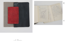## **Badr Ali**

'My new artworks are responses to locations that I have a personal connection to. The drawings I create are not necessarily representational in the traditional sense, they are gestural, ethereal, esoteric – responding to sensations.'

Born in the United States, growing up in London, spending most of his early adult life in Jeddah before returning to London for fourteen years, living in Paris for three years where he worked as an independent artist and educator and most recently living for two years in Berlin: Badr Ali has called many places home. His project for this exhibition is an exploration of his experiences in different cities via the medium of drawing.

'I was invited to think about my makan and I naturally resonated with key terms in the exhibition brief: • You live there • Your family comes from there • Once went there • Found magic there • Moves you • A trigger to your imagination and it makes you dream • Somewhere real, close by or in your imagination.

For me, my makan is not necessarily a physical, tangible space – but a "state of being" associated with sensations, feelings, and responses to which I am able to re-visit and re-experience.'

A series of cities Badr Ali has spent time in during the last year constitute his amakin that he evokes in the work for the exhibition: Berlin, Paris, London, Florence, Jeddah. His reactions vary whether it is London where his family is based and where he began his studies at St Martin's School of Art, to Jeddah, a place he considers to be the root of his culture and heritage, to Florence he recently discovered and which he only knew of its rich art history from books and films. 'It was extremely overwhelming, to a point that I didn't even go to any museums, I literally was just walking around town from 9am to 9pm for four days. I have produced a visual journal, like a sketchbook, which documents time, days, feelings.'

The process of drawing is key to his discovery of his inner makan, a cognitive tool which he uses to express deep, genuine emotions and illustrate his thought processes in a visual form, that he finds impossible to do with words. 'I produce two kinds of work – and it's important for them to be seen in dialogue. My fascination with drawing is not as a finished product, it's not supposed to be a precious, perfect object – give me the smudges, all the crinkles, mess, the raw, rough lines – the journal I take around as I travel with rips, straight out of my backpack, versus something I work on meticulously – the final manifestation of my ideas.'

**Badr Ali** was born in San Francisco in 1992 and has lived in the UK, France, Germany and Saudi Arabia. The act of drawing is deep-rooted within his practice as a painter. His recent explorations into printmaking techniques have allowed him to experiment with transferring his ideas on paper to silkscreen, to create something entirely new.

**بدر علي**

ًمساءً لمدة اربعة أيام. انتجت مجلة مرئية، مثل كراسة .<br>للرسم، أوثّق من خلالها الزمن، والأيام، والمشاعر."

إن عملية الرسم هي مفتاح اكتشافه لـ *مكانه* الداخلي، وهي أداة معرفية يستخدمها في التعبير عن المشاعر العميقة ֧֦֧֦֧֦֧֦֧֦֧֝֝<u>֚</u> والحقيقية، توضح عمليات تفكيره على نحو مرئي، والتي يجدها مستحيلة التجسيد بالكلمات. "أنتج نوعين من الأعمال - من الهام رؤيتهما كحوار فيما بينهما. فافتتاني بالرسم ليس كمنتج نهائي، وليس من المفترض أن يكون ذلك المنتج الفني ثمينا آو مثاليا - أعطني ضربات فرشاة، ً ًتجاعيد، فوضى، خطوط خام وخشنة - المجلة التي أرسمها أثناء سفري ممزّقة، مباشرة من حقيبة الظهر، مقابل منتج فني آخر أعمل عليه بدقة - يمثل المظهر النهائي لأفكاري.' التي أتّصلٌ بها شخصياً. والرسومات التي أرسمها لا ّ تجسد بالضرورةبالمعنى التقليدي، وإنما هي إيمائية، أثيرية، مقصورة على فئة معينة - بمثابة استجابة للأحاسيس." ولد في الولايات المتحدة الأمريكية، ونشأ في لندن، وقضى

"إن أعمالي الفنية هي استجابات للمواقع

ً

ر - سي - ر - .<br>معظم حياته المبكّرة في جدة قبل أن يعود إلى لندن لمدة أربعة عشر عاما، وعاش في باريس لمدة ثلاث سنوات، حيث ً ًعمل كفنان ومعلم مستقل، وعاش مؤخرا لمدة عامين في .<br>י برلين: لقد أطلق بدر كلمة الوطن على عدد من الأماكن. ويستكشف مشروعه لهذا المعرض تجاربه في مدن مختلفة عبر وسيلة الرسم.

"دعيت للتفكير في الـ مكان الخاص بي،وكان الصدى الطبيعي في المصطلحات الرئيسية لموجز المعرض: • تعيش هناك • عائلتك تنتمي إلى هناك • ذهبت إلى هناك • اكتشفت سحراً هناك • مكان يحرّكك • يحفّز خيالك، ֦֧֦֧֦֧֦֧֦֧֦֧֦֧֦֧ׅ֧֝֟֝֝֜֓<u>֚</u> ًويجعلك تحلم • مكان حقيقي، أقرب إلى أو داخل خيالك.

"بالنسبة لي، فا*لمكان* الخاص بي ليس بالضرورة مساحة مادية ملموسة -ولكنه "حالة من الوجود"، مرتبطة بالأحاسيس والمشاعروالاستجابات التي أستطيع زيارتها واستعادةتجربتها مرةأخرى."

ً.<br>تشكّل سلسلة المدن التي قضي فيها بدر وقتاً خلال العام الماضي، *الأما كن* التي يستحضرها في العمل لهذا المعرض: برلين، باريس، لندن، فلورنسا، جدة. تختلف ردود أفعاله باختلاف المدينة، من لندن، حيث تتخذ عائلته مكان الإقامة،وحيث بدأ دراسته في كلية سانت مارتن للفنون في لندن، إلى جدة، المكان الذي يعتبرهأصل ثقافته وتراثه، إلى فلورنسا التي اكتشفها مؤخرا، وعرف عن تاريخها الفني ً العريق فقط من الكتب والأفلام. "كانت تجربة غنية للغاية، حتى أنني لم أذهب إلى أي متاحف، بل كنت أتجول في المدينة من الساعة التاسعة صباحا، وحتى التاسعة ً

ولد **بدر علي**فيسان فرانسيسكو عام ،١٩٩٢وعاش في المملكة المتحدة وفرنسا وألمانيا والمملكة العربية ֦֧֦֧֦֧<u>֚֓</u> السعودية. يتجّذر فعل الرسم في ممارسته كرسّام. سمحت له استكشافاته الأخبرة في تقنية الطباعة بتجربة نقل أفكاره على الورق إلى الشاشة الحريرية، لإنشاء شيء جديد تماما. ً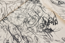



**Badr Ali بدر علي** Notebooks and sketches, 2021 دفاترورسومات، ٢٠٢١ **Badr Ali 118|119**